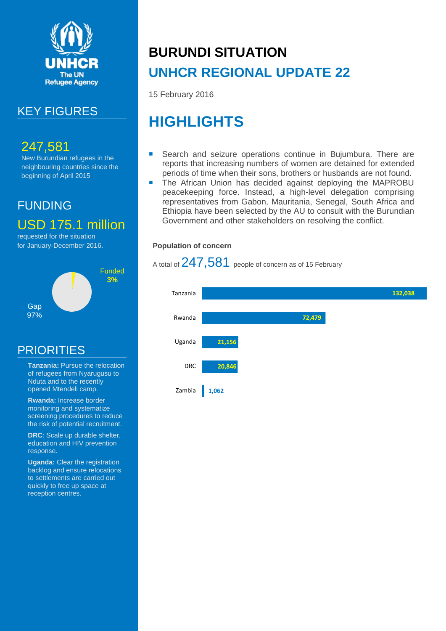

## KEY FIGURES

## 247,581

New Burundian refugees in the neighbouring countries since the beginning of April 2015

## FUNDING

USD 175.1 million

requested for the situation for January-December 2016.



## PRIORITIES

- **Tanzania:** Pursue the relocation of refugees from Nyarugusu to Nduta and to the recently opened Mtendeli camp.
- **Rwanda:** Increase border monitoring and systematize screening procedures to reduce the risk of potential recruitment.
- **DRC**: Scale up durable shelter, education and HIV prevention response.
- **Uganda:** Clear the registration backlog and ensure relocations to settlements are carried out quickly to free up space at reception centres.

# **BURUNDI SITUATION UNHCR REGIONAL UPDATE 22**

15 February 2016

# **HIGHLIGHTS**

- Search and seizure operations continue in Bujumbura. There are reports that increasing numbers of women are detained for extended periods of time when their sons, brothers or husbands are not found.
- **The African Union has decided against deploying the MAPROBU** peacekeeping force. Instead, a high-level delegation comprising representatives from Gabon, Mauritania, Senegal, South Africa and Ethiopia have been selected by the AU to consult with the Burundian Government and other stakeholders on resolving the conflict.

#### **Population of concern**

A total of 247,581 people of concern as of 15 February

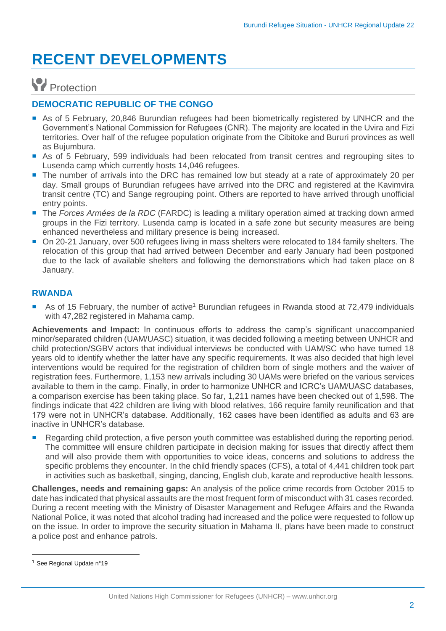# **RECENT DEVELOPMENTS**

## **Protection**

#### **DEMOCRATIC REPUBLIC OF THE CONGO**

- As of 5 February, 20,846 Burundian refugees had been biometrically registered by UNHCR and the Government's National Commission for Refugees (CNR). The majority are located in the Uvira and Fizi territories. Over half of the refugee population originate from the Cibitoke and Bururi provinces as well as Bujumbura.
- As of 5 February, 599 individuals had been relocated from transit centres and regrouping sites to Lusenda camp which currently hosts 14,046 refugees.
- The number of arrivals into the DRC has remained low but steady at a rate of approximately 20 per day. Small groups of Burundian refugees have arrived into the DRC and registered at the Kavimvira transit centre (TC) and Sange regrouping point. Others are reported to have arrived through unofficial entry points.
- The *Forces Armées de la RDC* (FARDC) is leading a military operation aimed at tracking down armed groups in the Fizi territory. Lusenda camp is located in a safe zone but security measures are being enhanced nevertheless and military presence is being increased.
- On 20-21 January, over 500 refugees living in mass shelters were relocated to 184 family shelters. The relocation of this group that had arrived between December and early January had been postponed due to the lack of available shelters and following the demonstrations which had taken place on 8 January.

#### **RWANDA**

■ As of 15 February, the number of active<sup>1</sup> Burundian refugees in Rwanda stood at 72,479 individuals with 47,282 registered in Mahama camp.

**Achievements and Impact:** In continuous efforts to address the camp's significant unaccompanied minor/separated children (UAM/UASC) situation, it was decided following a meeting between UNHCR and child protection/SGBV actors that individual interviews be conducted with UAM/SC who have turned 18 years old to identify whether the latter have any specific requirements. It was also decided that high level interventions would be required for the registration of children born of single mothers and the waiver of registration fees. Furthermore, 1,153 new arrivals including 30 UAMs were briefed on the various services available to them in the camp. Finally, in order to harmonize UNHCR and ICRC's UAM/UASC databases, a comparison exercise has been taking place. So far, 1,211 names have been checked out of 1,598. The findings indicate that 422 children are living with blood relatives, 166 require family reunification and that 179 were not in UNHCR's database. Additionally, 162 cases have been identified as adults and 63 are inactive in UNHCR's database.

 Regarding child protection, a five person youth committee was established during the reporting period. The committee will ensure children participate in decision making for issues that directly affect them and will also provide them with opportunities to voice ideas, concerns and solutions to address the specific problems they encounter. In the child friendly spaces (CFS), a total of 4,441 children took part in activities such as basketball, singing, dancing, English club, karate and reproductive health lessons.

**Challenges, needs and remaining gaps:** An analysis of the police crime records from October 2015 to date has indicated that physical assaults are the most frequent form of misconduct with 31 cases recorded. During a recent meeting with the Ministry of Disaster Management and Refugee Affairs and the Rwanda National Police, it was noted that alcohol trading had increased and the police were requested to follow up on the issue. In order to improve the security situation in Mahama II, plans have been made to construct a police post and enhance patrols.

 $\ddot{\phantom{a}}$ 

<sup>1</sup> See Regional Update n°19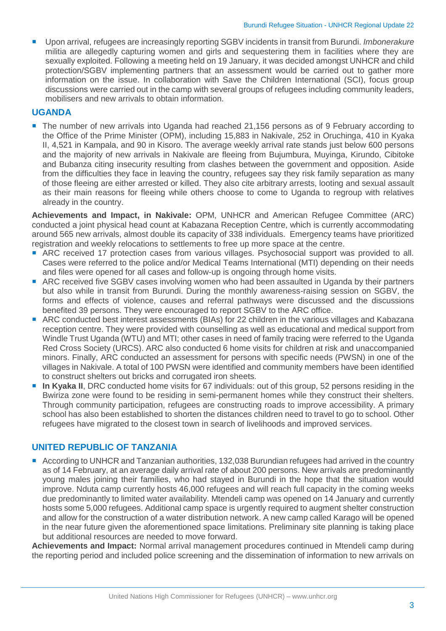Upon arrival, refugees are increasingly reporting SGBV incidents in transit from Burundi. *Imbonerakure* militia are allegedly capturing women and girls and sequestering them in facilities where they are sexually exploited. Following a meeting held on 19 January, it was decided amongst UNHCR and child protection/SGBV implementing partners that an assessment would be carried out to gather more information on the issue. In collaboration with Save the Children International (SCI), focus group discussions were carried out in the camp with several groups of refugees including community leaders, mobilisers and new arrivals to obtain information.

#### **UGANDA**

■ The number of new arrivals into Uganda had reached 21,156 persons as of 9 February according to the Office of the Prime Minister (OPM), including 15,883 in Nakivale, 252 in Oruchinga, 410 in Kyaka II, 4,521 in Kampala, and 90 in Kisoro. The average weekly arrival rate stands just below 600 persons and the majority of new arrivals in Nakivale are fleeing from Bujumbura, Muyinga, Kirundo, Cibitoke and Bubanza citing insecurity resulting from clashes between the government and opposition. Aside from the difficulties they face in leaving the country, refugees say they risk family separation as many of those fleeing are either arrested or killed. They also cite arbitrary arrests, looting and sexual assault as their main reasons for fleeing while others choose to come to Uganda to regroup with relatives already in the country.

**Achievements and Impact, in Nakivale:** OPM, UNHCR and American Refugee Committee (ARC) conducted a joint physical head count at Kabazana Reception Centre, which is currently accommodating around 565 new arrivals, almost double its capacity of 338 individuals. Emergency teams have prioritized registration and weekly relocations to settlements to free up more space at the centre.

- ARC received 17 protection cases from various villages. Psychosocial support was provided to all. Cases were referred to the police and/or Medical Teams International (MTI) depending on their needs and files were opened for all cases and follow-up is ongoing through home visits.
- ARC received five SGBV cases involving women who had been assaulted in Uganda by their partners but also while in transit from Burundi. During the monthly awareness-raising session on SGBV, the forms and effects of violence, causes and referral pathways were discussed and the discussions benefited 39 persons. They were encouraged to report SGBV to the ARC office.
- ARC conducted best interest assessments (BIAs) for 22 children in the various villages and Kabazana reception centre. They were provided with counselling as well as educational and medical support from Windle Trust Uganda (WTU) and MTI; other cases in need of family tracing were referred to the Uganda Red Cross Society (URCS). ARC also conducted 6 home visits for children at risk and unaccompanied minors. Finally, ARC conducted an assessment for persons with specific needs (PWSN) in one of the villages in Nakivale. A total of 100 PWSN were identified and community members have been identified to construct shelters out bricks and corrugated iron sheets.
- **In Kyaka II**, DRC conducted home visits for 67 individuals: out of this group, 52 persons residing in the Bwiriza zone were found to be residing in semi-permanent homes while they construct their shelters. Through community participation, refugees are constructing roads to improve accessibility. A primary school has also been established to shorten the distances children need to travel to go to school. Other refugees have migrated to the closest town in search of livelihoods and improved services.

#### **UNITED REPUBLIC OF TANZANIA**

■ According to UNHCR and Tanzanian authorities, 132,038 Burundian refugees had arrived in the country as of 14 February, at an average daily arrival rate of about 200 persons. New arrivals are predominantly young males joining their families, who had stayed in Burundi in the hope that the situation would improve. Nduta camp currently hosts 46,000 refugees and will reach full capacity in the coming weeks due predominantly to limited water availability. Mtendeli camp was opened on 14 January and currently hosts some 5,000 refugees. Additional camp space is urgently required to augment shelter construction and allow for the construction of a water distribution network. A new camp called Karago will be opened in the near future given the aforementioned space limitations. Preliminary site planning is taking place but additional resources are needed to move forward.

**Achievements and Impact:** Normal arrival management procedures continued in Mtendeli camp during the reporting period and included police screening and the dissemination of information to new arrivals on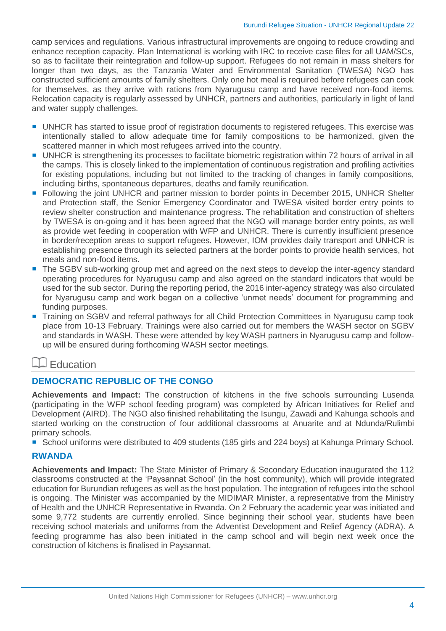camp services and regulations. Various infrastructural improvements are ongoing to reduce crowding and enhance reception capacity. Plan International is working with IRC to receive case files for all UAM/SCs, so as to facilitate their reintegration and follow-up support. Refugees do not remain in mass shelters for longer than two days, as the Tanzania Water and Environmental Sanitation (TWESA) NGO has constructed sufficient amounts of family shelters. Only one hot meal is required before refugees can cook for themselves, as they arrive with rations from Nyarugusu camp and have received non-food items. Relocation capacity is regularly assessed by UNHCR, partners and authorities, particularly in light of land and water supply challenges.

- UNHCR has started to issue proof of registration documents to registered refugees. This exercise was intentionally stalled to allow adequate time for family compositions to be harmonized, given the scattered manner in which most refugees arrived into the country.
- UNHCR is strengthening its processes to facilitate biometric registration within 72 hours of arrival in all the camps. This is closely linked to the implementation of continuous registration and profiling activities for existing populations, including but not limited to the tracking of changes in family compositions, including births, spontaneous departures, deaths and family reunification.
- Following the joint UNHCR and partner mission to border points in December 2015, UNHCR Shelter and Protection staff, the Senior Emergency Coordinator and TWESA visited border entry points to review shelter construction and maintenance progress. The rehabilitation and construction of shelters by TWESA is on-going and it has been agreed that the NGO will manage border entry points, as well as provide wet feeding in cooperation with WFP and UNHCR. There is currently insufficient presence in border/reception areas to support refugees. However, IOM provides daily transport and UNHCR is establishing presence through its selected partners at the border points to provide health services, hot meals and non-food items.
- The SGBV sub-working group met and agreed on the next steps to develop the inter-agency standard operating procedures for Nyarugusu camp and also agreed on the standard indicators that would be used for the sub sector. During the reporting period, the 2016 inter-agency strategy was also circulated for Nyarugusu camp and work began on a collective 'unmet needs' document for programming and funding purposes.
- Training on SGBV and referral pathways for all Child Protection Committees in Nyarugusu camp took place from 10-13 February. Trainings were also carried out for members the WASH sector on SGBV and standards in WASH. These were attended by key WASH partners in Nyarugusu camp and followup will be ensured during forthcoming WASH sector meetings.

### **Education**

#### **DEMOCRATIC REPUBLIC OF THE CONGO**

**Achievements and Impact:** The construction of kitchens in the five schools surrounding Lusenda (participating in the WFP school feeding program) was completed by African Initiatives for Relief and Development (AIRD). The NGO also finished rehabilitating the Isungu, Zawadi and Kahunga schools and started working on the construction of four additional classrooms at Anuarite and at Ndunda/Rulimbi primary schools.

■ School uniforms were distributed to 409 students (185 girls and 224 boys) at Kahunga Primary School.

#### **RWANDA**

**Achievements and Impact:** The State Minister of Primary & Secondary Education inaugurated the 112 classrooms constructed at the 'Paysannat School' (in the host community), which will provide integrated education for Burundian refugees as well as the host population. The integration of refugees into the school is ongoing. The Minister was accompanied by the MIDIMAR Minister, a representative from the Ministry of Health and the UNHCR Representative in Rwanda. On 2 February the academic year was initiated and some 9,772 students are currently enrolled. Since beginning their school year, students have been receiving school materials and uniforms from the Adventist Development and Relief Agency (ADRA). A feeding programme has also been initiated in the camp school and will begin next week once the construction of kitchens is finalised in Paysannat.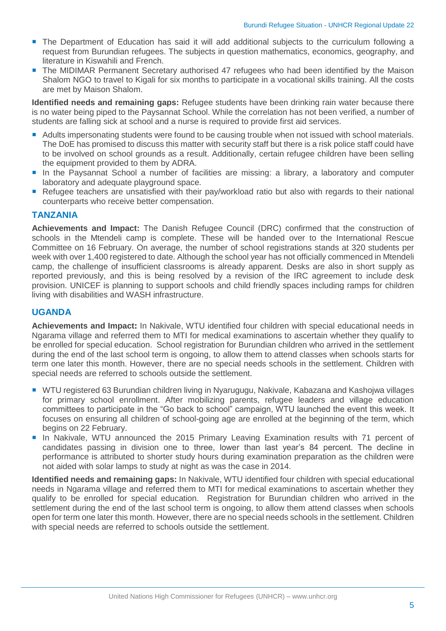- The Department of Education has said it will add additional subjects to the curriculum following a request from Burundian refugees. The subjects in question mathematics, economics, geography, and literature in Kiswahili and French.
- The MIDIMAR Permanent Secretary authorised 47 refugees who had been identified by the Maison Shalom NGO to travel to Kigali for six months to participate in a vocational skills training. All the costs are met by Maison Shalom.

**Identified needs and remaining gaps:** Refugee students have been drinking rain water because there is no water being piped to the Paysannat School. While the correlation has not been verified, a number of students are falling sick at school and a nurse is required to provide first aid services.

- Adults impersonating students were found to be causing trouble when not issued with school materials. The DoE has promised to discuss this matter with security staff but there is a risk police staff could have to be involved on school grounds as a result. Additionally, certain refugee children have been selling the equipment provided to them by ADRA.
- In the Paysannat School a number of facilities are missing: a library, a laboratory and computer laboratory and adequate playground space.
- Refugee teachers are unsatisfied with their pay/workload ratio but also with regards to their national counterparts who receive better compensation.

#### **TANZANIA**

**Achievements and Impact:** The Danish Refugee Council (DRC) confirmed that the construction of schools in the Mtendeli camp is complete. These will be handed over to the International Rescue Committee on 16 February. On average, the number of school registrations stands at 320 students per week with over 1,400 registered to date. Although the school year has not officially commenced in Mtendeli camp, the challenge of insufficient classrooms is already apparent. Desks are also in short supply as reported previously, and this is being resolved by a revision of the IRC agreement to include desk provision. UNICEF is planning to support schools and child friendly spaces including ramps for children living with disabilities and WASH infrastructure.

#### **UGANDA**

**Achievements and Impact:** In Nakivale, WTU identified four children with special educational needs in Ngarama village and referred them to MTI for medical examinations to ascertain whether they qualify to be enrolled for special education. School registration for Burundian children who arrived in the settlement during the end of the last school term is ongoing, to allow them to attend classes when schools starts for term one later this month. However, there are no special needs schools in the settlement. Children with special needs are referred to schools outside the settlement.

- WTU registered 63 Burundian children living in Nyarugugu, Nakivale, Kabazana and Kashojwa villages for primary school enrollment. After mobilizing parents, refugee leaders and village education committees to participate in the "Go back to school" campaign, WTU launched the event this week. It focuses on ensuring all children of school-going age are enrolled at the beginning of the term, which begins on 22 February.
- **In Nakivale, WTU announced the 2015 Primary Leaving Examination results with 71 percent of** candidates passing in division one to three, lower than last year's 84 percent. The decline in performance is attributed to shorter study hours during examination preparation as the children were not aided with solar lamps to study at night as was the case in 2014.

**Identified needs and remaining gaps:** In Nakivale, WTU identified four children with special educational needs in Ngarama village and referred them to MTI for medical examinations to ascertain whether they qualify to be enrolled for special education. Registration for Burundian children who arrived in the settlement during the end of the last school term is ongoing, to allow them attend classes when schools open for term one later this month. However, there are no special needs schools in the settlement. Children with special needs are referred to schools outside the settlement.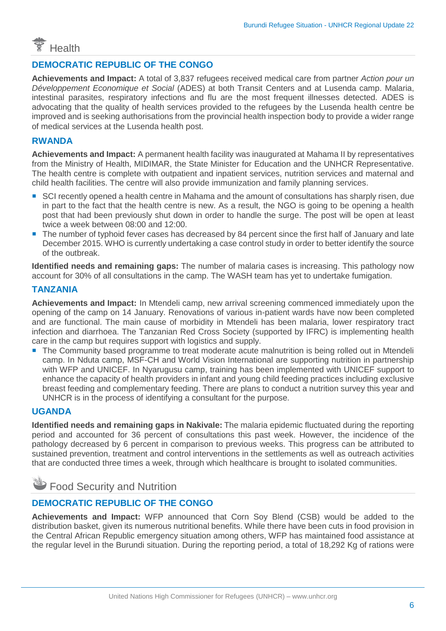

#### **DEMOCRATIC REPUBLIC OF THE CONGO**

**Achievements and Impact:** A total of 3,837 refugees received medical care from partner *Action pour un Développement Economique et Social* (ADES) at both Transit Centers and at Lusenda camp. Malaria, intestinal parasites, respiratory infections and flu are the most frequent illnesses detected. ADES is advocating that the quality of health services provided to the refugees by the Lusenda health centre be improved and is seeking authorisations from the provincial health inspection body to provide a wider range of medical services at the Lusenda health post.

#### **RWANDA**

**Achievements and Impact:** A permanent health facility was inaugurated at Mahama II by representatives from the Ministry of Health, MIDIMAR, the State Minister for Education and the UNHCR Representative. The health centre is complete with outpatient and inpatient services, nutrition services and maternal and child health facilities. The centre will also provide immunization and family planning services.

- SCI recently opened a health centre in Mahama and the amount of consultations has sharply risen, due in part to the fact that the health centre is new. As a result, the NGO is going to be opening a health post that had been previously shut down in order to handle the surge. The post will be open at least twice a week between 08:00 and 12:00.
- The number of typhoid fever cases has decreased by 84 percent since the first half of January and late December 2015. WHO is currently undertaking a case control study in order to better identify the source of the outbreak.

**Identified needs and remaining gaps:** The number of malaria cases is increasing. This pathology now account for 30% of all consultations in the camp. The WASH team has yet to undertake fumigation.

#### **TANZANIA**

**Achievements and Impact:** In Mtendeli camp, new arrival screening commenced immediately upon the opening of the camp on 14 January. Renovations of various in-patient wards have now been completed and are functional. The main cause of morbidity in Mtendeli has been malaria, lower respiratory tract infection and diarrhoea. The Tanzanian Red Cross Society (supported by IFRC) is implementing health care in the camp but requires support with logistics and supply.

**The Community based programme to treat moderate acute malnutrition is being rolled out in Mtendeli** camp. In Nduta camp, MSF-CH and World Vision International are supporting nutrition in partnership with WFP and UNICEF. In Nyarugusu camp, training has been implemented with UNICEF support to enhance the capacity of health providers in infant and young child feeding practices including exclusive breast feeding and complementary feeding. There are plans to conduct a nutrition survey this year and UNHCR is in the process of identifying a consultant for the purpose.

#### **UGANDA**

**Identified needs and remaining gaps in Nakivale:** The malaria epidemic fluctuated during the reporting period and accounted for 36 percent of consultations this past week. However, the incidence of the pathology decreased by 6 percent in comparison to previous weeks. This progress can be attributed to sustained prevention, treatment and control interventions in the settlements as well as outreach activities that are conducted three times a week, through which healthcare is brought to isolated communities.

Food Security and Nutrition

#### **DEMOCRATIC REPUBLIC OF THE CONGO**

**Achievements and Impact:** WFP announced that Corn Soy Blend (CSB) would be added to the distribution basket, given its numerous nutritional benefits. While there have been cuts in food provision in the Central African Republic emergency situation among others, WFP has maintained food assistance at the regular level in the Burundi situation. During the reporting period, a total of 18,292 Kg of rations were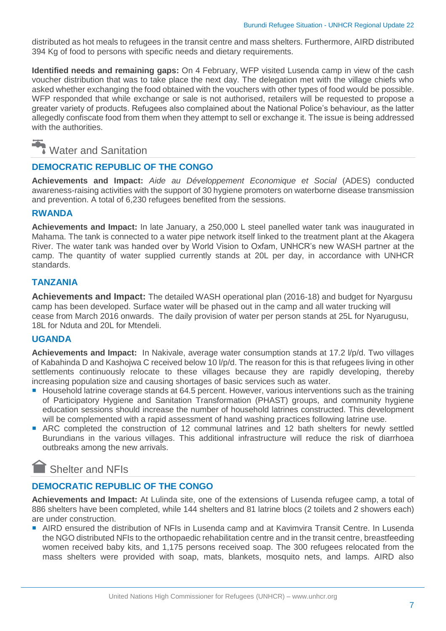distributed as hot meals to refugees in the transit centre and mass shelters. Furthermore, AIRD distributed 394 Kg of food to persons with specific needs and dietary requirements.

**Identified needs and remaining gaps:** On 4 February, WFP visited Lusenda camp in view of the cash voucher distribution that was to take place the next day. The delegation met with the village chiefs who asked whether exchanging the food obtained with the vouchers with other types of food would be possible. WFP responded that while exchange or sale is not authorised, retailers will be requested to propose a greater variety of products. Refugees also complained about the National Police's behaviour, as the latter allegedly confiscate food from them when they attempt to sell or exchange it. The issue is being addressed with the authorities.

## Water and Sanitation

#### **DEMOCRATIC REPUBLIC OF THE CONGO**

**Achievements and Impact:** *Aide au Développement Economique et Social* (ADES) conducted awareness-raising activities with the support of 30 hygiene promoters on waterborne disease transmission and prevention. A total of 6,230 refugees benefited from the sessions.

#### **RWANDA**

**Achievements and Impact:** In late January, a 250,000 L steel panelled water tank was inaugurated in Mahama. The tank is connected to a water pipe network itself linked to the treatment plant at the Akagera River. The water tank was handed over by World Vision to Oxfam, UNHCR's new WASH partner at the camp. The quantity of water supplied currently stands at 20L per day, in accordance with UNHCR standards.

#### **TANZANIA**

**Achievements and Impact:** The detailed WASH operational plan (2016-18) and budget for Nyargusu camp has been developed. Surface water will be phased out in the camp and all water trucking will cease from March 2016 onwards. The daily provision of water per person stands at 25L for Nyarugusu, 18L for Nduta and 20L for Mtendeli.

#### **UGANDA**

**Achievements and Impact:** In Nakivale, average water consumption stands at 17.2 l/p/d. Two villages of Kabahinda D and Kashojwa C received below 10 l/p/d. The reason for this is that refugees living in other settlements continuously relocate to these villages because they are rapidly developing, thereby increasing population size and causing shortages of basic services such as water.

- Household latrine coverage stands at 64.5 percent. However, various interventions such as the training of Participatory Hygiene and Sanitation Transformation (PHAST) groups, and community hygiene education sessions should increase the number of household latrines constructed. This development will be complemented with a rapid assessment of hand washing practices following latrine use.
- ARC completed the construction of 12 communal latrines and 12 bath shelters for newly settled Burundians in the various villages. This additional infrastructure will reduce the risk of diarrhoea outbreaks among the new arrivals.

### Shelter and NFIs

#### **DEMOCRATIC REPUBLIC OF THE CONGO**

**Achievements and Impact:** At Lulinda site, one of the extensions of Lusenda refugee camp, a total of 886 shelters have been completed, while 144 shelters and 81 latrine blocs (2 toilets and 2 showers each) are under construction.

■ AIRD ensured the distribution of NFIs in Lusenda camp and at Kavimvira Transit Centre. In Lusenda the NGO distributed NFIs to the orthopaedic rehabilitation centre and in the transit centre, breastfeeding women received baby kits, and 1,175 persons received soap. The 300 refugees relocated from the mass shelters were provided with soap, mats, blankets, mosquito nets, and lamps. AIRD also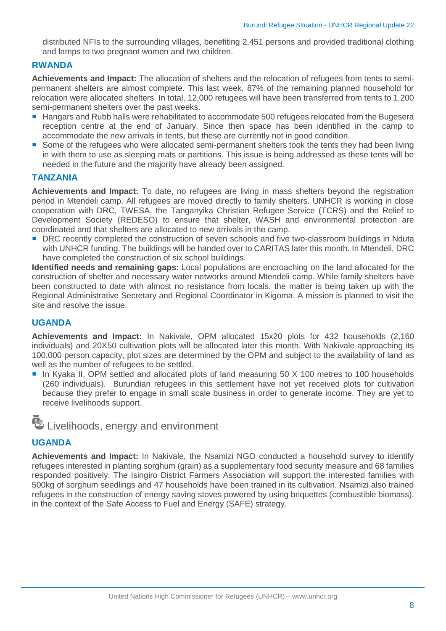distributed NFIs to the surrounding villages, benefiting 2,451 persons and provided traditional clothing and lamps to two pregnant women and two children.

#### **RWANDA**

**Achievements and Impact:** The allocation of shelters and the relocation of refugees from tents to semipermanent shelters are almost complete. This last week, 87% of the remaining planned household for relocation were allocated shelters. In total, 12,000 refugees will have been transferred from tents to 1,200 semi-permanent shelters over the past weeks.

- Hangars and Rubb halls were rehabilitated to accommodate 500 refugees relocated from the Bugesera reception centre at the end of January. Since then space has been identified in the camp to accommodate the new arrivals in tents, but these are currently not in good condition.
- Some of the refugees who were allocated semi-permanent shelters took the tents they had been living in with them to use as sleeping mats or partitions. This issue is being addressed as these tents will be needed in the future and the majority have already been assigned.

#### **TANZANIA**

**Achievements and Impact:** To date, no refugees are living in mass shelters beyond the registration period in Mtendeli camp. All refugees are moved directly to family shelters. UNHCR is working in close cooperation with DRC, TWESA, the Tanganyika Christian Refugee Service (TCRS) and the Relief to Development Society (REDESO) to ensure that shelter, WASH and environmental protection are coordinated and that shelters are allocated to new arrivals in the camp.

■ DRC recently completed the construction of seven schools and five two-classroom buildings in Nduta with UNHCR funding. The buildings will be handed over to CARITAS later this month. In Mtendeli, DRC have completed the construction of six school buildings.

**Identified needs and remaining gaps:** Local populations are encroaching on the land allocated for the construction of shelter and necessary water networks around Mtendeli camp. While family shelters have been constructed to date with almost no resistance from locals, the matter is being taken up with the Regional Administrative Secretary and Regional Coordinator in Kigoma. A mission is planned to visit the site and resolve the issue.

#### **UGANDA**

**Achievements and Impact:** In Nakivale, OPM allocated 15x20 plots for 432 households (2,160 individuals) and 20X50 cultivation plots will be allocated later this month. With Nakivale approaching its 100,000 person capacity, plot sizes are determined by the OPM and subject to the availability of land as well as the number of refugees to be settled.

■ In Kyaka II, OPM settled and allocated plots of land measuring 50 X 100 metres to 100 households (260 individuals). Burundian refugees in this settlement have not yet received plots for cultivation because they prefer to engage in small scale business in order to generate income. They are yet to receive livelihoods support.

## Livelihoods, energy and environment

#### **UGANDA**

**Achievements and Impact:** In Nakivale, the Nsamizi NGO conducted a household survey to identify refugees interested in planting sorghum (grain) as a supplementary food security measure and 68 families responded positively. The Isingiro District Farmers Association will support the interested families with 500kg of sorghum seedlings and 47 households have been trained in its cultivation. Nsamizi also trained refugees in the construction of energy saving stoves powered by using briquettes (combustible biomass), in the context of the Safe Access to Fuel and Energy (SAFE) strategy.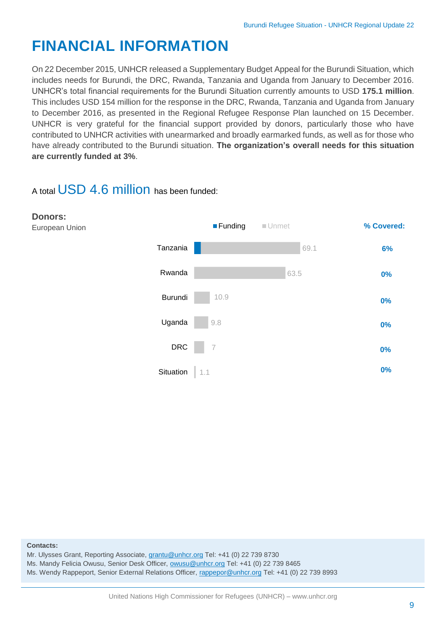# **FINANCIAL INFORMATION**

On 22 December 2015, UNHCR released a Supplementary Budget Appeal for the Burundi Situation, which includes needs for Burundi, the DRC, Rwanda, Tanzania and Uganda from January to December 2016. UNHCR's total financial requirements for the Burundi Situation currently amounts to USD **175.1 million**. This includes USD 154 million for the response in the DRC, Rwanda, Tanzania and Uganda from January to December 2016, as presented in the Regional Refugee Response Plan launched on 15 December. UNHCR is very grateful for the financial support provided by donors, particularly those who have contributed to UNHCR activities with unearmarked and broadly earmarked funds, as well as for those who have already contributed to the Burundi situation. **The organization's overall needs for this situation are currently funded at 3%**.

### A total USD 4.6 million has been funded:



#### **Contacts:**

Mr. Ulysses Grant, Reporting Associate, [grantu@unhcr.org](mailto:grantu@unhcr.org) Tel: +41 (0) 22 739 8730

Ms. Mandy Felicia Owusu, Senior Desk Officer, [owusu@unhcr.org](mailto:owusu@unhcr.org) Tel: +41 (0) 22 739 8465

Ms. Wendy Rappeport, Senior External Relations Officer, [rappepor@unhcr.org](mailto:rappepor@unhcr.org) Tel: +41 (0) 22 739 8993